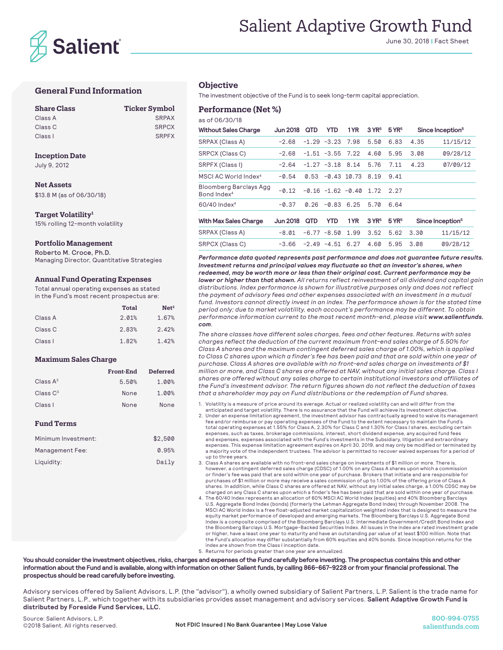

# Salient Adaptive Growth Fund

June 30, 2018 | Fact Sheet

## **General Fund Information**

| <b>Share Class</b> | <b>Ticker Symbol</b> |
|--------------------|----------------------|
| Class A            | <b>SRPAX</b>         |
| Class C            | <b>SRPCX</b>         |
| Class I            | <b>SRPFX</b>         |

#### **Inception Date**

July 9, 2012

## **Net Assets**

\$13.8 M (as of 06/30/18)

#### **Target Volatility1**

15% rolling 12-month volatility

## **Portfolio Management**

Roberto M. Croce, Ph.D. Managing Director, Quantitative Strategies

#### **Annual Fund Operating Expenses**

Total annual operating expenses as stated in the Fund's most recent prospectus are:

| <b>Total</b> | Net <sup>2</sup> |
|--------------|------------------|
| 2.01%        | 1.67%            |
| 2.83%        | 2.42%            |
| 1.82%        | 1.42%            |
|              |                  |

### **Maximum Sales Charge**

|             | Front-End | <b>Deferred</b> |
|-------------|-----------|-----------------|
| Class $A^3$ | 5.50%     | 1.00%           |
| Class $C^3$ | None      | 1.00%           |
| Class I     | None      | None            |

### **Fund Terms**

| Minimum Investment: | \$2.500 |
|---------------------|---------|
| Management Fee:     | 0.95%   |
| Liquidity:          | Daily   |

## **Objective**

The investment objective of the Fund is to seek long-term capital appreciation.

### **Performance (Net %)**

as of 06/30/18

| <b>Without Sales Charge</b>                       | <b>Jun 2018</b> | QTD     | <b>YTD</b>          | 1 YR                | $3$ YR <sup>5</sup> | $5$ YR <sup>5</sup> |      | Since Inception <sup>5</sup> |
|---------------------------------------------------|-----------------|---------|---------------------|---------------------|---------------------|---------------------|------|------------------------------|
| SRPAX (Class A)                                   | $-2.68$         |         | $-1.29 - 3.23$      | 7.98                | 5.50                | 6.83                | 4.35 | 11/15/12                     |
| SRPCX (Class C)                                   | $-2.68$         |         | $-1.51 - 3.55$ 7.22 |                     | 4.60                | 5.95                | 3.08 | 09/28/12                     |
| SRPFX (Class I)                                   | $-2.64$         |         | $-1.27 -3.18$       | 8.14                | 5.76                | 7.11                | 4.23 | 07/09/12                     |
| MSCI AC World Index <sup>4</sup>                  | $-0.54$         | 0.53    |                     | $-0.43$ 10.73       | 8.19                | 9.41                |      |                              |
| Bloomberg Barclays Agg<br>Bond Index <sup>4</sup> | $-0.12$         |         |                     | $-0.16 -1.62 -0.40$ | 1.72                | 2.27                |      |                              |
| $60/40$ Index <sup>4</sup>                        | $-0.37$         | 0.26    | $-0.83$             | 6.25                | 5.70                | 6.64                |      |                              |
| <b>With Max Sales Charge</b>                      | <b>Jun 2018</b> | QTD     | <b>YTD</b>          | 1YR                 | $3$ YR <sup>5</sup> | $5$ YR <sup>5</sup> |      | Since Inception <sup>5</sup> |
| SRPAX (Class A)                                   | $-8.01$         |         | $-6.77 - 8.50$      | 1.99                | 3.52                | 5.62                | 3.30 | 11/15/12                     |
| <b>SRPCX (Class C)</b>                            | $-3.66$         | $-2.49$ | $-4.51$             | 6.27                | 4.60                | 5.95                | 3.08 | 09/28/12                     |

*Performance data quoted represents past performance and does not guarantee future results. Investment returns and principal values may fluctuate so that an investor's shares, when redeemed, may be worth more or less than their original cost. Current performance may be lower or higher than that shown. All returns reflect reinvestment of all dividend and capital gain distributions. Index performance is shown for illustrative purposes only and does not reflect the payment of advisory fees and other expenses associated with an investment in a mutual*  fund. Investors cannot directly invest in an index. The performance shown is for the stated time *period only; due to market volatility, each account's performance may be different. To obtain performance information current to the most recent month-end, please visit www.salientfunds. com.*

*The share classes have different sales charges, fees and other features. Returns with sales charges reflect the deduction of the current maximum front-end sales charge of 5.50% for Class A shares and the maximum contingent deferred sales charge of 1.00%, which is applied to Class C shares upon which a finder's fee has been paid and that are sold within one year of purchase. Class A shares are available with no front-end sales charge on investments of \$1 million or more, and Class C shares are offered at NAV, without any initial sales charge. Class I shares are offered without any sales charge to certain institutional investors and affiliates of the Fund's investment advisor. The return figures shown do not reflect the deduction of taxes that a shareholder may pay on Fund distributions or the redemption of Fund shares.*

1. Volatility is a measure of price around its average. Actual or realized volatility can and will differ from the anticipated and target volatility. There is no assurance that the Fund will achieve its investment objective.

2. Under an expense limitation agreement, the investment advisor has contractually agreed to waive its management fee and/or reimburse or pay operating expenses of the Fund to the extent necessary to maintain the Fund's total operating expenses at 1.55% for Class A, 2.30% for Class C and 1.30% for Class I shares, excluding certain expenses, such as taxes, brokerage commissions, interest, short dividend expense, any acquired fund fees and expenses, expenses associated with the Fund's investments in the Subsidiary, litigation and extraordinary expenses. This expense limitation agreement expires on April 30, 2019, and may only be modified or terminated by a majority vote of the independent trustees. The advisor is permitted to recover waived expenses for a period of up to three years.

3. Class A shares are available with no front-end sales charge on investments of \$1 million or more. There is, however, a contingent deferred sales charge (CDSC) of 1.00% on any Class A shares upon which a commission or finder's fee was paid that are sold within one year of purchase. Brokers that initiate and are responsible for purchases of \$1 million or more may receive a sales commission of up to 1.00% of the offering price of Class A shares. In addition, while Class C shares are offered at NAV, without any initial sales charge, a 1.00% CDSC may be charged on any Class C shares upon which a finder's fee has been paid that are sold within one year of purchase.

4. The 60/40 Index represents an allocation of 60% MSCI AC World Index (equities) and 40% Bloomberg Barclays U.S. Aggregate Bond Index (bonds) (formerly the Lehman Aggregate Bond Index) through November 2008. The MSCI AC World Index is a free float-adjusted market capitalization weighted index that is designed to measure the equity market performance of developed and emerging markets. The Bloomberg Barclays U.S. Aggregate Bond Index is a composite comprised of the Bloomberg Barclays U.S. Intermediate Government/Credit Bond Index and the Bloomberg Barclays U.S. Mortgage-Backed Securities Index. All issues in the index are rated investment grade or higher, have a least one year to maturity and have an outstanding par value of at least \$100 million. Note that<br>the Fund's allocation may differ substantially from 60% equities and 40% bonds. Since inception returns for index are shown from the Class I inception date.

5. Returns for periods greater than one year are annualized.

**You should consider the investment objectives, risks, charges and expenses of the Fund carefully before investing. The prospectus contains this and other information about the Fund and is available, along with information on other Salient funds, by calling 866-667-9228 or from your financial professional. The prospectus should be read carefully before investing.** 

Advisory services offered by Salient Advisors, L.P. (the "advisor"), a wholly owned subsidiary of Salient Partners, L.P. Salient is the trade name for Salient Partners, L.P., which together with its subsidiaries provides asset management and advisory services. **Salient Adaptive Growth Fund is distributed by Foreside Fund Services, LLC.**